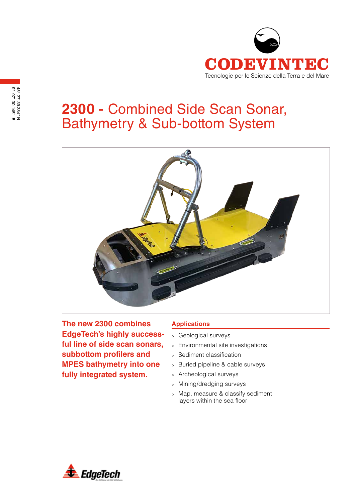

# **2300 -** Combined Side Scan Sonar, Bathymetry & Sub-bottom System



**The new 2300 combines EdgeTech's highly successful line of side scan sonars, subbottom profilers and MPES bathymetry into one fully integrated system.**

#### **Applications**

- <sup>&</sup>gt; Geological surveys
- <sup>&</sup>gt; Environmental site investigations
- <sup>&</sup>gt; Sediment classification
- <sup>&</sup>gt; Buried pipeline & cable surveys
- <sup>&</sup>gt; Archeological surveys
- <sup>&</sup>gt; Mining/dredging surveys
- <sup>&</sup>gt; Map, measure & classify sediment layers within the sea floor

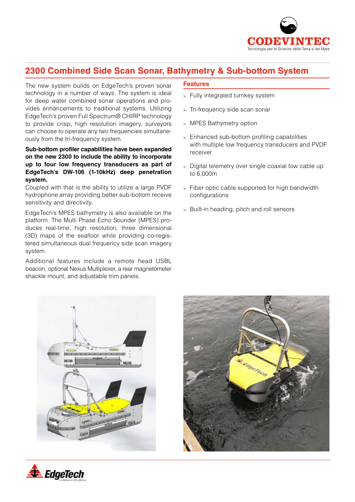

## **2300 Combined Side Scan Sonar, Bathymetry & Sub-bottom System**

The new system builds on EdgeTech's proven sonar technology in a number of ways. The system is ideal for deep water combined sonar operations and provides enhancements to traditional systems. Utilizing EdgeTech's proven Full Spectrum® CHIRP technology to provide crisp, high resolution imagery, surveyors can choose to operate any two frequencies simultaneously from the tri-frequency system.

#### **Sub-bottom profiler capabilities have been expanded on the new 2300 to include the ability to incorporate up to four low frequency transducers as part of EdgeTech's DW-106 (1-10kHz) deep penetration system.**

Coupled with that is the ability to utilize a large PVDF hydrophone array providing better sub-bottom receive sensitivity and directivity.

EdgeTech's MPES bathymetry is also available on the platform. The Multi Phase Echo Sounder (MPES) produces real-time, high resolution, three dimensional (3D) maps of the seafloor while providing co-registered simultaneous dual frequency side scan imagery system.

Additional features include a remote head USBL beacon, optional Nexus Multiplexer, a rear magnetometer shackle mount, and adjustable trim panels.

#### **Features**

- <sup>&</sup>gt; Fully integrated turnkey system
- <sup>&</sup>gt; Tri-frequency side scan sonar
- <sup>&</sup>gt; MPES Bathymetry option
- <sup>&</sup>gt; Enhanced sub-bottom profiling capabilities with multiple low frequency transducers and PVDF receiver
- <sup>&</sup>gt; Digital telemetry over single coaxial tow cable up to 6,000m
- <sup>&</sup>gt; Fiber optic cable supported for high bandwidth configurations
- <sup>&</sup>gt; Built-in heading, pitch and roll sensors





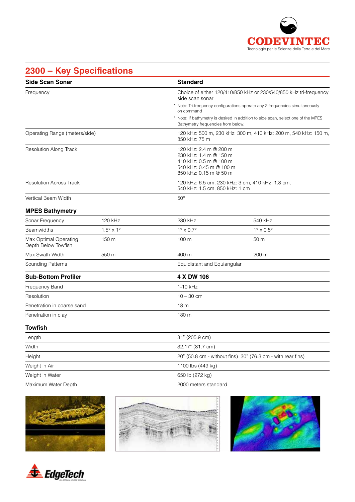

# **2300 – Key Specifications**

| <b>Side Scan Sonar</b>                       |                            | <b>Standard</b>                                                                                                                                                                                                                                                                                                |                            |
|----------------------------------------------|----------------------------|----------------------------------------------------------------------------------------------------------------------------------------------------------------------------------------------------------------------------------------------------------------------------------------------------------------|----------------------------|
| Frequency                                    |                            | Choice of either 120/410/850 kHz or 230/540/850 kHz tri-frequency<br>side scan sonar<br>* Note: Tri-frequency configurations operate any 2 frequencies simultaneously<br>on command<br>* Note: If bathymetry is desired in addition to side scan, select one of the MPES<br>Bathymetry frequencies from below. |                            |
| Operating Range (meters/side)                |                            | 120 kHz: 500 m, 230 kHz: 300 m, 410 kHz: 200 m, 540 kHz: 150 m,<br>850 kHz: 75 m                                                                                                                                                                                                                               |                            |
| Resolution Along Track                       |                            | 120 kHz: 2.4 m @ 200 m<br>230 kHz: 1.4 m @ 150 m<br>410 kHz: 0.5 m @ 100 m<br>540 kHz: 0.45 m @ 100 m<br>850 kHz: 0.15 m @ 50 m                                                                                                                                                                                |                            |
| <b>Resolution Across Track</b>               |                            | 120 kHz: 6.5 cm, 230 kHz: 3 cm, 410 kHz: 1.8 cm,<br>540 kHz: 1.5 cm, 850 kHz: 1 cm                                                                                                                                                                                                                             |                            |
| Vertical Beam Width                          |                            | $50^\circ$                                                                                                                                                                                                                                                                                                     |                            |
| <b>MPES Bathymetry</b>                       |                            |                                                                                                                                                                                                                                                                                                                |                            |
| Sonar Frequency                              | 120 kHz                    | 230 kHz                                                                                                                                                                                                                                                                                                        | 540 kHz                    |
| <b>Beamwidths</b>                            | $1.5^\circ \times 1^\circ$ | $1^\circ \times 0.7^\circ$                                                                                                                                                                                                                                                                                     | $1^\circ \times 0.5^\circ$ |
| Max Optimal Operating<br>Depth Below Towfish | 150 m                      | 100 <sub>m</sub>                                                                                                                                                                                                                                                                                               | 50 m                       |
| Max Swath Width                              | 550 m                      | 400 m                                                                                                                                                                                                                                                                                                          | 200 m                      |
| Sounding Patterns                            |                            | Equidistant and Equiangular                                                                                                                                                                                                                                                                                    |                            |
| <b>Sub-Bottom Profiler</b>                   |                            | 4 X DW 106                                                                                                                                                                                                                                                                                                     |                            |
| Frequency Band                               |                            | 1-10 kHz                                                                                                                                                                                                                                                                                                       |                            |
| Resolution                                   |                            | $10 - 30$ cm                                                                                                                                                                                                                                                                                                   |                            |
| Penetration in coarse sand                   |                            | 18 <sub>m</sub>                                                                                                                                                                                                                                                                                                |                            |
| Penetration in clay                          |                            | 180 m                                                                                                                                                                                                                                                                                                          |                            |
| <b>Towfish</b>                               |                            |                                                                                                                                                                                                                                                                                                                |                            |
| Length                                       |                            | 81" (205.9 cm)                                                                                                                                                                                                                                                                                                 |                            |
| Width                                        |                            | 32.17" (81.7 cm)                                                                                                                                                                                                                                                                                               |                            |
| Height                                       |                            | 20" (50.8 cm - without fins) 30" (76.3 cm - with rear fins)                                                                                                                                                                                                                                                    |                            |
| Weight in Air                                |                            | 1100 lbs (449 kg)                                                                                                                                                                                                                                                                                              |                            |
| Weight in Water                              |                            | 650 lb (272 kg)                                                                                                                                                                                                                                                                                                |                            |
|                                              |                            |                                                                                                                                                                                                                                                                                                                |                            |

Maximum Water Depth 2000 meters standard